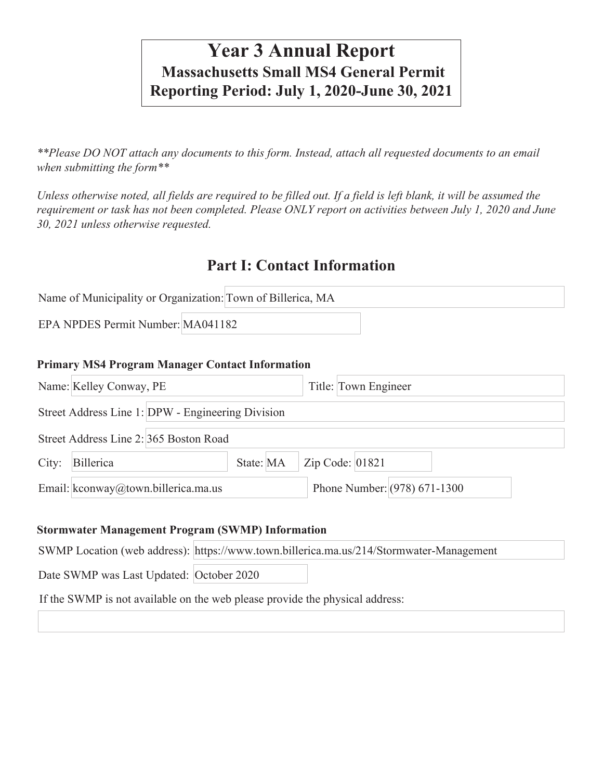# **Year 3 Annual Report Massachusetts Small MS4 General Permit Reporting Period: July 1, 2020-June 30, 2021**

*\*\*Please DO NOT attach any documents to this form. Instead, attach all requested documents to an email when submitting the form\*\** 

*Unless otherwise noted, all fields are required to be filled out. If a field is left blank, it will be assumed the requirement or task has not been completed. Please ONLY report on activities between July 1, 2020 and June 30, 2021 unless otherwise requested.*

## **Part I: Contact Information**

|                                   | Name of Municipality or Organization: Town of Billerica, MA |  |
|-----------------------------------|-------------------------------------------------------------|--|
| EPA NPDES Permit Number: MA041182 |                                                             |  |

#### **Primary MS4 Program Manager Contact Information**

|       | Name: Kelley Conway, PE                           |           |                   | Title: Town Engineer           |  |  |
|-------|---------------------------------------------------|-----------|-------------------|--------------------------------|--|--|
|       | Street Address Line 1: DPW - Engineering Division |           |                   |                                |  |  |
|       | Street Address Line 2: 365 Boston Road            |           |                   |                                |  |  |
| City: | Billerica                                         | State: MA | Zip Code: $01821$ |                                |  |  |
|       | Email: kconway@town.billerica.ma.us               |           |                   | Phone Number: $(978)$ 671-1300 |  |  |

#### **Stormwater Management Program (SWMP) Information**

|  | SWMP Location (web address): https://www.town.billerica.ma.us/214/Stormwater-Management |
|--|-----------------------------------------------------------------------------------------|
|  |                                                                                         |

Date SWMP was Last Updated: October 2020

If the SWMP is not available on the web please provide the physical address: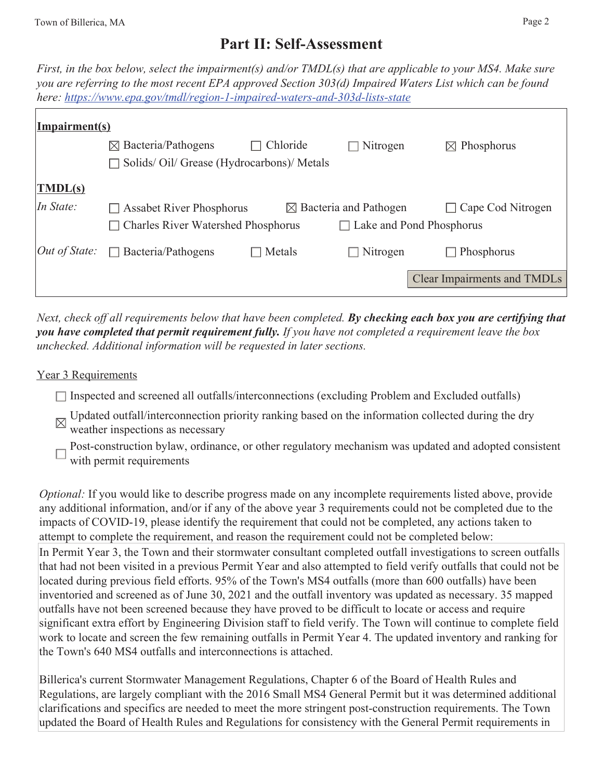## **Part II: Self-Assessment**

*First, in the box below, select the impairment(s) and/or TMDL(s) that are applicable to your MS4. Make sure you are referring to the most recent EPA approved Section 303(d) Impaired Waters List which can be found here: https://www.epa.gov/tmdl/region-1-impaired-waters-and-303d-lists-state*

| Impairment(s)                     |                                           |          |                                   |                                    |
|-----------------------------------|-------------------------------------------|----------|-----------------------------------|------------------------------------|
|                                   | $\boxtimes$ Bacteria/Pathogens            | Chloride | $\Box$ Nitrogen                   | $\boxtimes$ Phosphorus             |
|                                   | Solids/Oil/Grease (Hydrocarbons)/Metals   |          |                                   |                                    |
| $\vert \overline{\text{IMDL(s)}}$ |                                           |          |                                   |                                    |
| In State:                         | $\Box$ Assabet River Phosphorus           |          | $\boxtimes$ Bacteria and Pathogen | Cape Cod Nitrogen<br>$\mathbf{I}$  |
|                                   | <b>Charles River Watershed Phosphorus</b> |          | $\Box$ Lake and Pond Phosphorus   |                                    |
| $Out$ of State:                   | Bacteria/Pathogens<br>$\Box$              | Metals   | Nitrogen                          | Phosphorus<br>$\blacksquare$       |
|                                   |                                           |          |                                   | <b>Clear Impairments and TMDLs</b> |

*Next, check off all requirements below that have been completed. By checking each box you are certifying that you have completed that permit requirement fully. If you have not completed a requirement leave the box unchecked. Additional information will be requested in later sections.* 

#### Year 3 Requirements

- $\Box$  Inspected and screened all outfalls/interconnections (excluding Problem and Excluded outfalls)
- Updated outfall/interconnection priority ranking based on the information collected during the dry weather inspections as necessary
- Post-construction bylaw, ordinance, or other regulatory mechanism was updated and adopted consistent with permit requirements

*Optional:* If you would like to describe progress made on any incomplete requirements listed above, provide any additional information, and/or if any of the above year 3 requirements could not be completed due to the impacts of COVID-19, please identify the requirement that could not be completed, any actions taken to attempt to complete the requirement, and reason the requirement could not be completed below: In Permit Year 3, the Town and their stormwater consultant completed outfall investigations to screen outfalls that had not been visited in a previous Permit Year and also attempted to field verify outfalls that could not be located during previous field efforts. 95% of the Town's MS4 outfalls (more than 600 outfalls) have been inventoried and screened as of June 30, 2021 and the outfall inventory was updated as necessary. 35 mapped outfalls have not been screened because they have proved to be difficult to locate or access and require significant extra effort by Engineering Division staff to field verify. The Town will continue to complete field work to locate and screen the few remaining outfalls in Permit Year 4. The updated inventory and ranking for the Town's 640 MS4 outfalls and interconnections is attached.

Billerica's current Stormwater Management Regulations, Chapter 6 of the Board of Health Rules and Regulations, are largely compliant with the 2016 Small MS4 General Permit but it was determined additional clarifications and specifics are needed to meet the more stringent post-construction requirements. The Town updated the Board of Health Rules and Regulations for consistency with the General Permit requirements in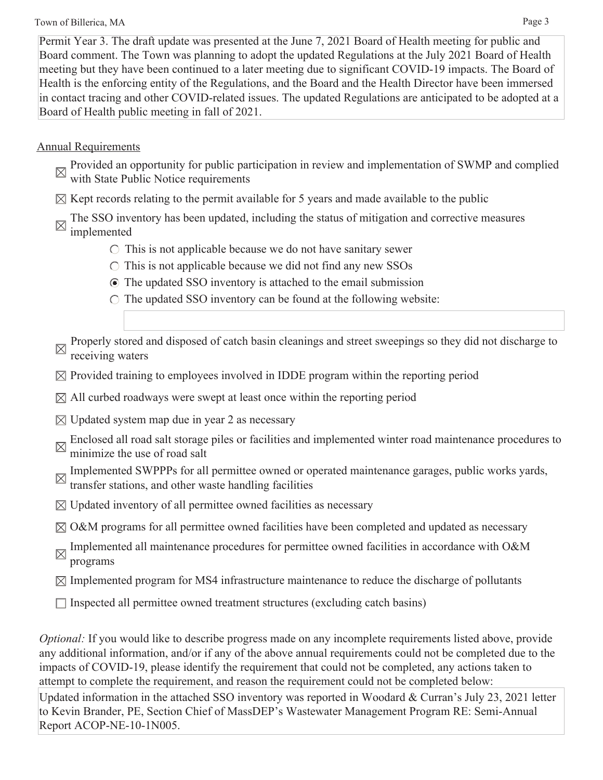#### Town of Billerica, MA Page 3

Permit Year 3. The draft update was presented at the June 7, 2021 Board of Health meeting for public and Board comment. The Town was planning to adopt the updated Regulations at the July 2021 Board of Health meeting but they have been continued to a later meeting due to significant COVID-19 impacts. The Board of Health is the enforcing entity of the Regulations, and the Board and the Health Director have been immersed in contact tracing and other COVID-related issues. The updated Regulations are anticipated to be adopted at a Board of Health public meeting in fall of 2021.

## Annual Requirements

- Provided an opportunity for public participation in review and implementation of SWMP and complied with State Public Notice requirements
- $\boxtimes$  Kept records relating to the permit available for 5 years and made available to the public
- The SSO inventory has been updated, including the status of mitigation and corrective measures
- $\boxtimes$  implemented
	- $\circ$  This is not applicable because we do not have sanitary sewer
	- $\circ$  This is not applicable because we did not find any new SSOs
	- The updated SSO inventory is attached to the email submission
	- $\circ$  The updated SSO inventory can be found at the following website:

Properly stored and disposed of catch basin cleanings and street sweepings so they did not discharge to receiving waters

- $\boxtimes$  Provided training to employees involved in IDDE program within the reporting period
- $\boxtimes$  All curbed roadways were swept at least once within the reporting period
- $\boxtimes$  Updated system map due in year 2 as necessary
- Enclosed all road salt storage piles or facilities and implemented winter road maintenance procedures to minimize the vector of  $\mathbb{R}^n$ . minimize the use of road salt
- Implemented SWPPPs for all permittee owned or operated maintenance garages, public works yards, transfer stations, and other waste handling facilities
- $\boxtimes$  Updated inventory of all permittee owned facilities as necessary
- $\boxtimes$  O&M programs for all permittee owned facilities have been completed and updated as necessary
- Implemented all maintenance procedures for permittee owned facilities in accordance with O&M programs
- $\boxtimes$  Implemented program for MS4 infrastructure maintenance to reduce the discharge of pollutants
- $\Box$  Inspected all permittee owned treatment structures (excluding catch basins)

*Optional:* If you would like to describe progress made on any incomplete requirements listed above, provide any additional information, and/or if any of the above annual requirements could not be completed due to the impacts of COVID-19, please identify the requirement that could not be completed, any actions taken to attempt to complete the requirement, and reason the requirement could not be completed below:

Updated information in the attached SSO inventory was reported in Woodard & Curran's July 23, 2021 letter to Kevin Brander, PE, Section Chief of MassDEP's Wastewater Management Program RE: Semi-Annual Report ACOP-NE-10-1N005.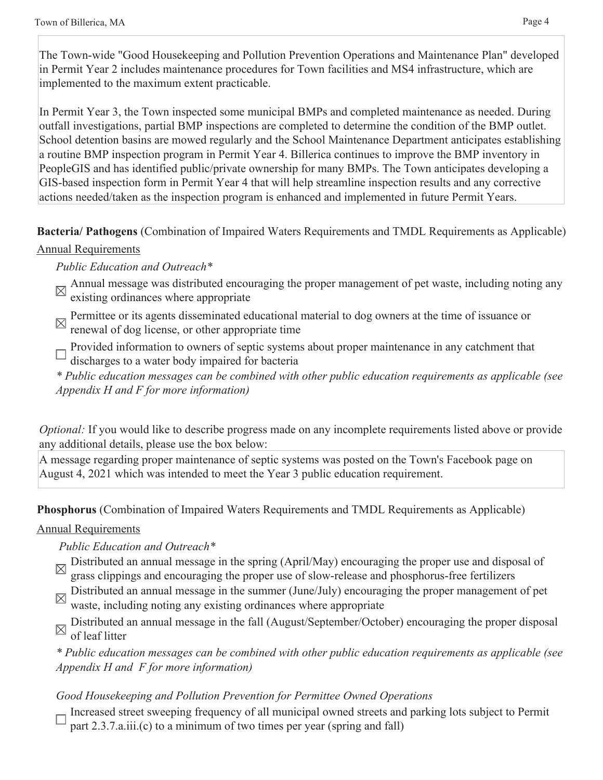The Town-wide "Good Housekeeping and Pollution Prevention Operations and Maintenance Plan" developed in Permit Year 2 includes maintenance procedures for Town facilities and MS4 infrastructure, which are implemented to the maximum extent practicable.

In Permit Year 3, the Town inspected some municipal BMPs and completed maintenance as needed. During outfall investigations, partial BMP inspections are completed to determine the condition of the BMP outlet. School detention basins are mowed regularly and the School Maintenance Department anticipates establishing a routine BMP inspection program in Permit Year 4. Billerica continues to improve the BMP inventory in PeopleGIS and has identified public/private ownership for many BMPs. The Town anticipates developing a GIS-based inspection form in Permit Year 4 that will help streamline inspection results and any corrective actions needed/taken as the inspection program is enhanced and implemented in future Permit Years.

**Bacteria/ Pathogens** (Combination of Impaired Waters Requirements and TMDL Requirements as Applicable) Annual Requirements

### *Public Education and Outreach\**

- Annual message was distributed encouraging the proper management of pet waste, including noting any original continuous continuous continuous continuous continuous continuous continuous continuous continuous continuous co existing ordinances where appropriate
- Permittee or its agents disseminated educational material to dog owners at the time of issuance or  $\boxtimes$ renewal of dog license, or other appropriate time
- Provided information to owners of septic systems about proper maintenance in any catchment that discharges to a water body impaired for bacteria

*\* Public education messages can be combined with other public education requirements as applicable (see Appendix H and F for more information)*

*Optional:* If you would like to describe progress made on any incomplete requirements listed above or provide any additional details, please use the box below:

A message regarding proper maintenance of septic systems was posted on the Town's Facebook page on August 4, 2021 which was intended to meet the Year 3 public education requirement.

**Phosphorus** (Combination of Impaired Waters Requirements and TMDL Requirements as Applicable)

## Annual Requirements

## *Public Education and Outreach\**

- Distributed an annual message in the spring (April/May) encouraging the proper use and disposal of grass clippings and encouraging the proper use of slow-release and phosphorus-free fertilizers
- Distributed an annual message in the summer (June/July) encouraging the proper management of pet waste, including noting any existing ordinances where appropriate

Distributed an annual message in the fall (August/September/October) encouraging the proper disposal of leaf litter

*\* Public education messages can be combined with other public education requirements as applicable (see Appendix H and F for more information)* 

## *Good Housekeeping and Pollution Prevention for Permittee Owned Operations*

Increased street sweeping frequency of all municipal owned streets and parking lots subject to Permit part 2.3.7.a.iii.(c) to a minimum of two times per year (spring and fall)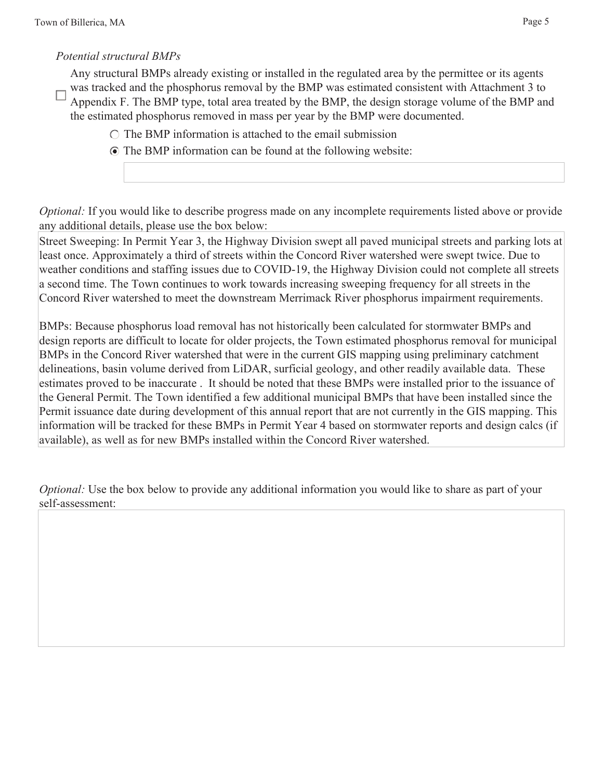### *Potential structural BMPs*

Any structural BMPs already existing or installed in the regulated area by the permittee or its agents was tracked and the phosphorus removal by the BMP was estimated consistent with Attachment 3 to

- Appendix F. The BMP type, total area treated by the BMP, the design storage volume of the BMP and the estimated phosphorus removed in mass per year by the BMP were documented.
	- $\circ$  The BMP information is attached to the email submission
	- The BMP information can be found at the following website:

*Optional:* If you would like to describe progress made on any incomplete requirements listed above or provide any additional details, please use the box below:

Street Sweeping: In Permit Year 3, the Highway Division swept all paved municipal streets and parking lots at least once. Approximately a third of streets within the Concord River watershed were swept twice. Due to weather conditions and staffing issues due to COVID-19, the Highway Division could not complete all streets a second time. The Town continues to work towards increasing sweeping frequency for all streets in the Concord River watershed to meet the downstream Merrimack River phosphorus impairment requirements.

BMPs: Because phosphorus load removal has not historically been calculated for stormwater BMPs and design reports are difficult to locate for older projects, the Town estimated phosphorus removal for municipal BMPs in the Concord River watershed that were in the current GIS mapping using preliminary catchment delineations, basin volume derived from LiDAR, surficial geology, and other readily available data. These estimates proved to be inaccurate . It should be noted that these BMPs were installed prior to the issuance of the General Permit. The Town identified a few additional municipal BMPs that have been installed since the Permit issuance date during development of this annual report that are not currently in the GIS mapping. This information will be tracked for these BMPs in Permit Year 4 based on stormwater reports and design calcs (if available), as well as for new BMPs installed within the Concord River watershed.

*Optional:* Use the box below to provide any additional information you would like to share as part of your self-assessment: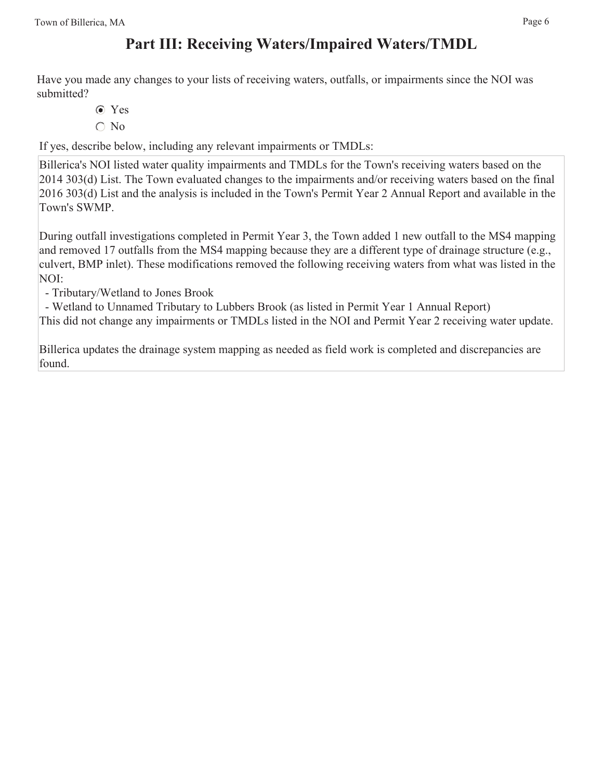# **Part III: Receiving Waters/Impaired Waters/TMDL**

Have you made any changes to your lists of receiving waters, outfalls, or impairments since the NOI was submitted?

- Yes
- $\bigcirc$  No

If yes, describe below, including any relevant impairments or TMDLs:

Billerica's NOI listed water quality impairments and TMDLs for the Town's receiving waters based on the 2014 303(d) List. The Town evaluated changes to the impairments and/or receiving waters based on the final 2016 303(d) List and the analysis is included in the Town's Permit Year 2 Annual Report and available in the Town's SWMP.

During outfall investigations completed in Permit Year 3, the Town added 1 new outfall to the MS4 mapping and removed 17 outfalls from the MS4 mapping because they are a different type of drainage structure (e.g., culvert, BMP inlet). These modifications removed the following receiving waters from what was listed in the NOI:

- Tributary/Wetland to Jones Brook

- Wetland to Unnamed Tributary to Lubbers Brook (as listed in Permit Year 1 Annual Report)

This did not change any impairments or TMDLs listed in the NOI and Permit Year 2 receiving water update.

Billerica updates the drainage system mapping as needed as field work is completed and discrepancies are found.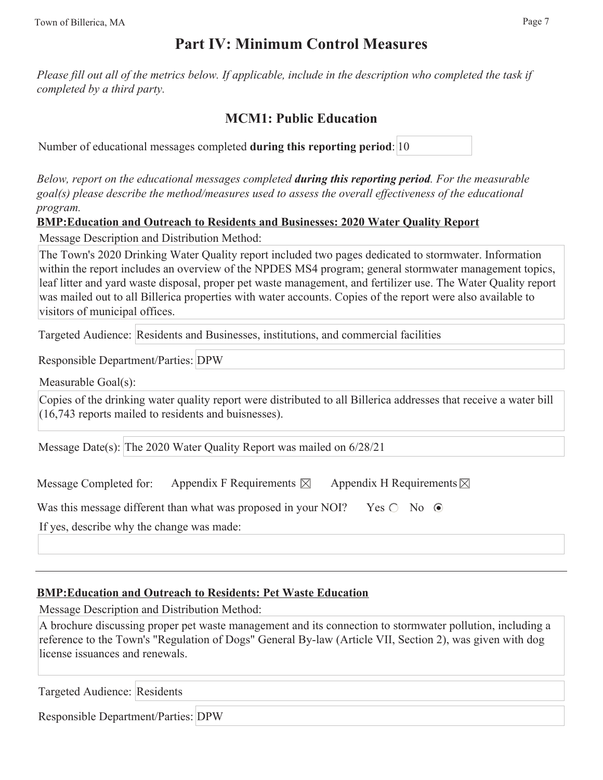## **Part IV: Minimum Control Measures**

*Please fill out all of the metrics below. If applicable, include in the description who completed the task if completed by a third party.* 

## **MCM1: Public Education**

Number of educational messages completed **during this reporting period**: 10

*Below, report on the educational messages completed during this reporting period. For the measurable goal(s) please describe the method/measures used to assess the overall effectiveness of the educational program.*

**BMP:Education and Outreach to Residents and Businesses: 2020 Water Quality Report**

Message Description and Distribution Method:

The Town's 2020 Drinking Water Quality report included two pages dedicated to stormwater. Information within the report includes an overview of the NPDES MS4 program; general stormwater management topics, leaf litter and yard waste disposal, proper pet waste management, and fertilizer use. The Water Quality report was mailed out to all Billerica properties with water accounts. Copies of the report were also available to visitors of municipal offices.

Targeted Audience: Residents and Businesses, institutions, and commercial facilities

Responsible Department/Parties: DPW

Measurable Goal(s):

Copies of the drinking water quality report were distributed to all Billerica addresses that receive a water bill (16,743 reports mailed to residents and buisnesses).

Message Date(s): The 2020 Water Quality Report was mailed on 6/28/21

Message Completed for: Appendix F Requirements  $\boxtimes$  Appendix H Requirements  $\boxtimes$ 

Was this message different than what was proposed in your NOI? Yes  $\bigcirc$  No  $\bigcirc$ 

If yes, describe why the change was made:

## **BMP:Education and Outreach to Residents: Pet Waste Education**

Message Description and Distribution Method:

A brochure discussing proper pet waste management and its connection to stormwater pollution, including a reference to the Town's "Regulation of Dogs" General By-law (Article VII, Section 2), was given with dog license issuances and renewals.

Targeted Audience: Residents

Responsible Department/Parties: DPW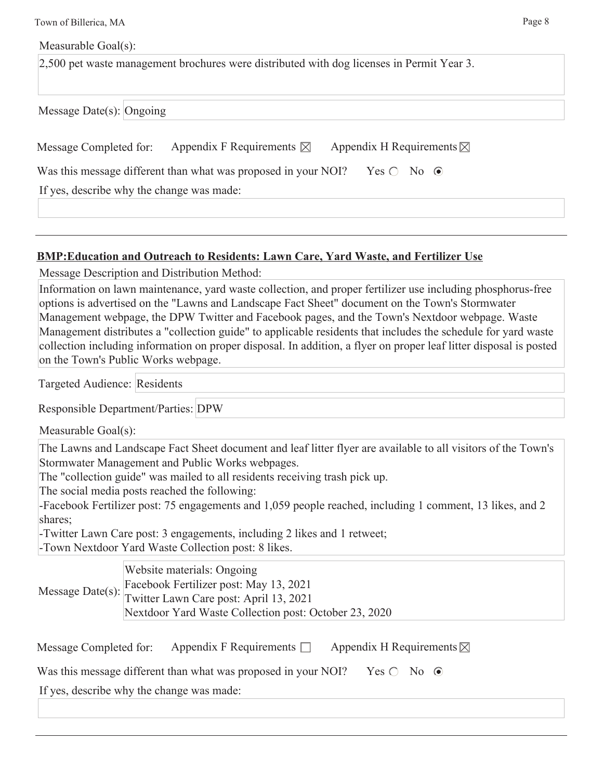Town of Billerica, MA Page 8

Measurable Goal(s):

2,500 pet waste management brochures were distributed with dog licenses in Permit Year 3.

Message Date(s): Ongoing

| Message Completed for: Appendix F Requirements $\boxtimes$ Appendix H Requirements $\boxtimes$ |  |
|------------------------------------------------------------------------------------------------|--|
| Was this message different than what was proposed in your NOI? Yes $\bigcirc$ No $\odot$       |  |

If yes, describe why the change was made:

#### **BMP:Education and Outreach to Residents: Lawn Care, Yard Waste, and Fertilizer Use**

Message Description and Distribution Method:

Information on lawn maintenance, yard waste collection, and proper fertilizer use including phosphorus-free options is advertised on the "Lawns and Landscape Fact Sheet" document on the Town's Stormwater Management webpage, the DPW Twitter and Facebook pages, and the Town's Nextdoor webpage. Waste Management distributes a "collection guide" to applicable residents that includes the schedule for yard waste collection including information on proper disposal. In addition, a flyer on proper leaf litter disposal is posted on the Town's Public Works webpage.

Targeted Audience: Residents

Responsible Department/Parties: DPW

Measurable Goal(s):

The Lawns and Landscape Fact Sheet document and leaf litter flyer are available to all visitors of the Town's Stormwater Management and Public Works webpages.

The "collection guide" was mailed to all residents receiving trash pick up.

The social media posts reached the following:

-Facebook Fertilizer post: 75 engagements and 1,059 people reached, including 1 comment, 13 likes, and 2 shares;

-Twitter Lawn Care post: 3 engagements, including 2 likes and 1 retweet; -Town Nextdoor Yard Waste Collection post: 8 likes.

Message Date(s): Website materials: Ongoing Facebook Fertilizer post: May 13, 2021 Twitter Lawn Care post: April 13, 2021 Nextdoor Yard Waste Collection post: October 23, 2020

| Message Completed for: | Appendix F Requirements $\Box$ | Appendix H Requirements $\boxtimes$ |
|------------------------|--------------------------------|-------------------------------------|
|                        |                                |                                     |

Was this message different than what was proposed in your NOI? Yes  $\bigcirc$  No  $\bigcirc$ 

If yes, describe why the change was made: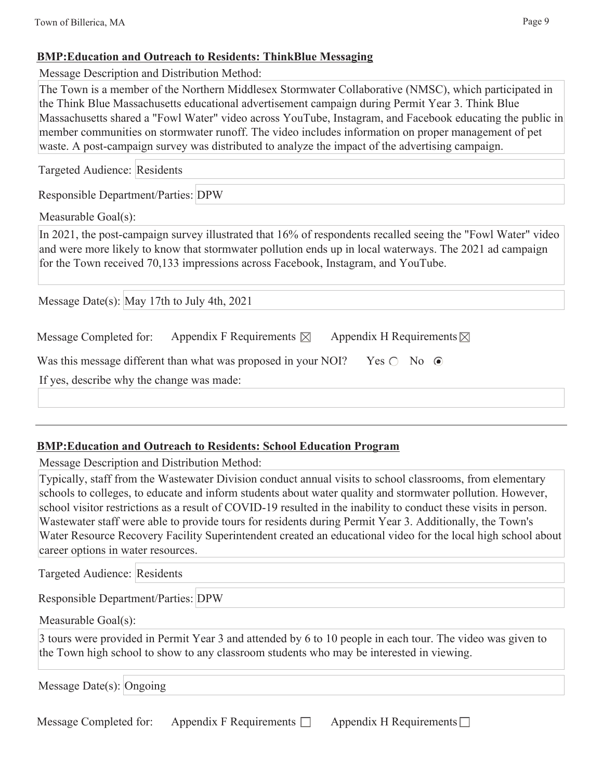### **BMP:Education and Outreach to Residents: ThinkBlue Messaging**

Message Description and Distribution Method:

The Town is a member of the Northern Middlesex Stormwater Collaborative (NMSC), which participated in the Think Blue Massachusetts educational advertisement campaign during Permit Year 3. Think Blue Massachusetts shared a "Fowl Water" video across YouTube, Instagram, and Facebook educating the public in member communities on stormwater runoff. The video includes information on proper management of pet waste. A post-campaign survey was distributed to analyze the impact of the advertising campaign.

Targeted Audience: Residents

Responsible Department/Parties: DPW

Measurable Goal(s):

In 2021, the post-campaign survey illustrated that 16% of respondents recalled seeing the "Fowl Water" video and were more likely to know that stormwater pollution ends up in local waterways. The 2021 ad campaign for the Town received 70,133 impressions across Facebook, Instagram, and YouTube.

Message Date(s): May 17th to July 4th, 2021

| Message Completed for:                    | Appendix F Requirements $\boxtimes$                            | Appendix H Requirements $\boxtimes$ |
|-------------------------------------------|----------------------------------------------------------------|-------------------------------------|
|                                           | Was this message different than what was proposed in your NOI? | Yes $\bigcirc$ No $\bigcirc$        |
| If yes, describe why the change was made: |                                                                |                                     |
|                                           |                                                                |                                     |

## **BMP:Education and Outreach to Residents: School Education Program**

Message Description and Distribution Method:

Typically, staff from the Wastewater Division conduct annual visits to school classrooms, from elementary schools to colleges, to educate and inform students about water quality and stormwater pollution. However, school visitor restrictions as a result of COVID-19 resulted in the inability to conduct these visits in person. Wastewater staff were able to provide tours for residents during Permit Year 3. Additionally, the Town's Water Resource Recovery Facility Superintendent created an educational video for the local high school about career options in water resources.

Targeted Audience: Residents

Responsible Department/Parties: DPW

Measurable Goal(s):

3 tours were provided in Permit Year 3 and attended by 6 to 10 people in each tour. The video was given to the Town high school to show to any classroom students who may be interested in viewing.

| Message Date(s): Ongoing |  |  |
|--------------------------|--|--|
|--------------------------|--|--|

Message Completed for: Appendix F Requirements  $\Box$  Appendix H Requirements  $\Box$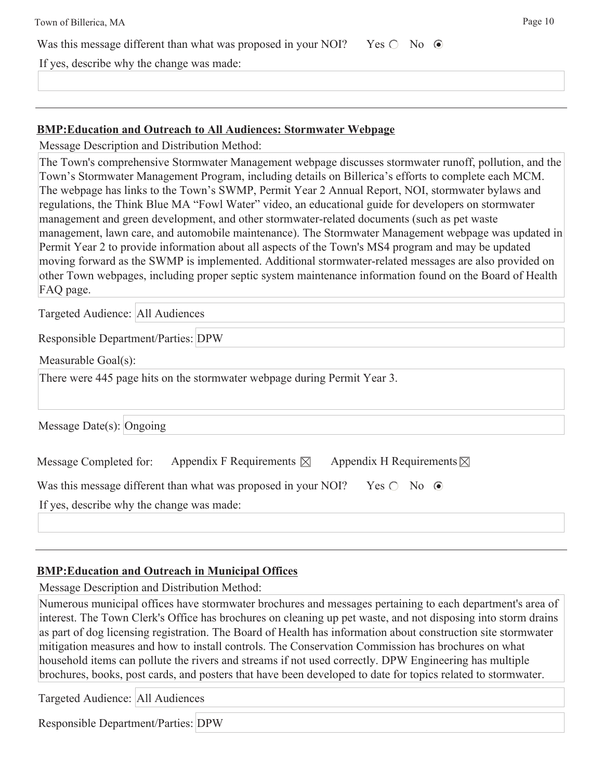| Town of Billerica, MA                                          |                           | Page 10 |
|----------------------------------------------------------------|---------------------------|---------|
| Was this message different than what was proposed in your NOI? | $Yes \bigcirc No \ \odot$ |         |
| If yes, describe why the change was made:                      |                           |         |
|                                                                |                           |         |

#### **BMP:Education and Outreach to All Audiences: Stormwater Webpage**

Message Description and Distribution Method:

The Town's comprehensive Stormwater Management webpage discusses stormwater runoff, pollution, and the Town's Stormwater Management Program, including details on Billerica's efforts to complete each MCM. The webpage has links to the Town's SWMP, Permit Year 2 Annual Report, NOI, stormwater bylaws and regulations, the Think Blue MA "Fowl Water" video, an educational guide for developers on stormwater management and green development, and other stormwater-related documents (such as pet waste management, lawn care, and automobile maintenance). The Stormwater Management webpage was updated in Permit Year 2 to provide information about all aspects of the Town's MS4 program and may be updated moving forward as the SWMP is implemented. Additional stormwater-related messages are also provided on other Town webpages, including proper septic system maintenance information found on the Board of Health FAQ page.

Targeted Audience: All Audiences

Responsible Department/Parties: DPW

Measurable Goal(s):

There were 445 page hits on the stormwater webpage during Permit Year 3.

Message Date(s): Ongoing

| Message Completed for: | Appendix F Requirements $\boxtimes$ | Appendix H Requirements $\boxtimes$ |
|------------------------|-------------------------------------|-------------------------------------|
|------------------------|-------------------------------------|-------------------------------------|

Was this message different than what was proposed in your NOI? Yes  $\bigcirc$  No  $\bigcirc$ 

If yes, describe why the change was made:

## **BMP:Education and Outreach in Municipal Offices**

Message Description and Distribution Method:

Numerous municipal offices have stormwater brochures and messages pertaining to each department's area of interest. The Town Clerk's Office has brochures on cleaning up pet waste, and not disposing into storm drains as part of dog licensing registration. The Board of Health has information about construction site stormwater mitigation measures and how to install controls. The Conservation Commission has brochures on what household items can pollute the rivers and streams if not used correctly. DPW Engineering has multiple brochures, books, post cards, and posters that have been developed to date for topics related to stormwater.

Targeted Audience: All Audiences

Responsible Department/Parties: DPW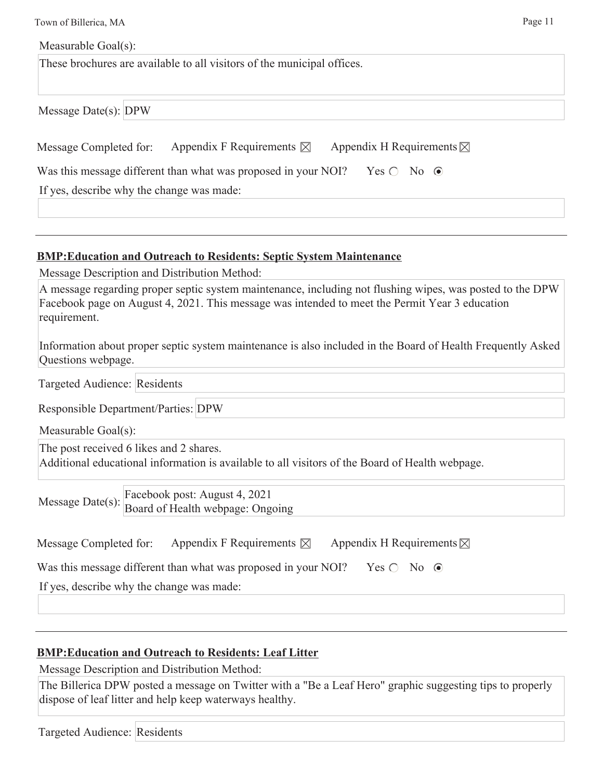| Town of Billerica, MA                                                                                | Page 11 |
|------------------------------------------------------------------------------------------------------|---------|
| Measurable Goal(s):                                                                                  |         |
| These brochures are available to all visitors of the municipal offices.                              |         |
|                                                                                                      |         |
| Message Date(s): $DPW$                                                                               |         |
| Appendix F Requirements $\boxtimes$<br>Appendix H Requirements $\boxtimes$<br>Message Completed for: |         |
| Was this message different than what was proposed in your NOI? Yes $\circ$ No $\circ$                |         |
| If yes, describe why the change was made:                                                            |         |
|                                                                                                      |         |
|                                                                                                      |         |

### **BMP:Education and Outreach to Residents: Septic System Maintenance**

Message Description and Distribution Method:

| A message regarding proper septic system maintenance, including not flushing wipes, was posted to the DPW |
|-----------------------------------------------------------------------------------------------------------|
| Facebook page on August 4, 2021. This message was intended to meet the Permit Year 3 education            |
| requirement.                                                                                              |

Information about proper septic system maintenance is also included in the Board of Health Frequently Asked Questions webpage.

Targeted Audience: Residents

Responsible Department/Parties: DPW

Measurable Goal(s):

The post received 6 likes and 2 shares.

Additional educational information is available to all visitors of the Board of Health webpage.

Message Date(s):  $\frac{\text{Facebook post:} \text{August } 4, 2021}{\text{Det } 1000}$ Board of Health webpage: Ongoing

| Message Completed for: | Appendix F Requirements $\boxtimes$ | Appendix H Requirements $\boxtimes$ |
|------------------------|-------------------------------------|-------------------------------------|
|------------------------|-------------------------------------|-------------------------------------|

| Was this message different than what was proposed in your NOI? Yes $\bigcirc$ No $\bigcirc$ |  |  |  |  |
|---------------------------------------------------------------------------------------------|--|--|--|--|
|                                                                                             |  |  |  |  |

If yes, describe why the change was made:

## **BMP:Education and Outreach to Residents: Leaf Litter**

Message Description and Distribution Method:

The Billerica DPW posted a message on Twitter with a "Be a Leaf Hero" graphic suggesting tips to properly dispose of leaf litter and help keep waterways healthy.

Targeted Audience: Residents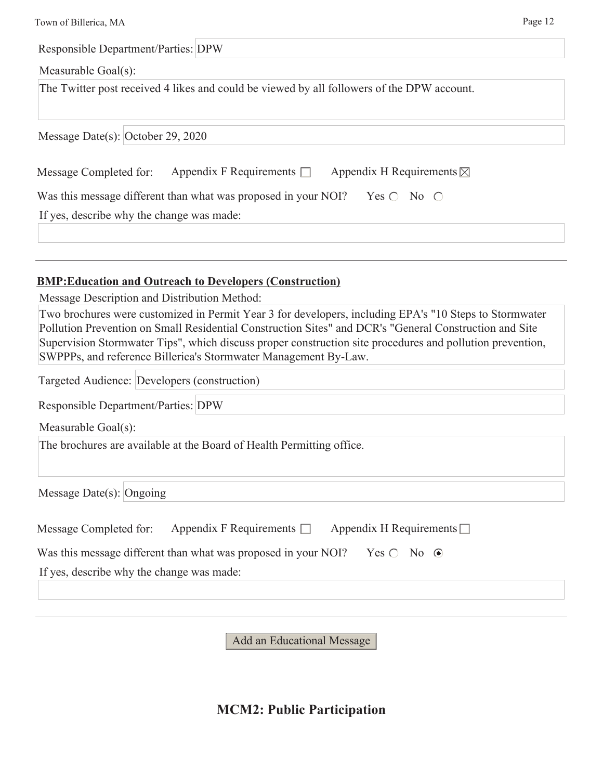| Town of Billerica, MA                        | Page 12                                                                                                                                                                                                                                                                                |
|----------------------------------------------|----------------------------------------------------------------------------------------------------------------------------------------------------------------------------------------------------------------------------------------------------------------------------------------|
| <b>Responsible Department/Parties: DPW</b>   |                                                                                                                                                                                                                                                                                        |
| Measurable Goal(s):                          |                                                                                                                                                                                                                                                                                        |
|                                              | The Twitter post received 4 likes and could be viewed by all followers of the DPW account.                                                                                                                                                                                             |
| Message Date(s): October 29, 2020            |                                                                                                                                                                                                                                                                                        |
| Message Completed for:                       | Appendix F Requirements $\Box$<br>Appendix H Requirements $\boxtimes$                                                                                                                                                                                                                  |
|                                              | Yes $\bigcirc$ No $\bigcirc$<br>Was this message different than what was proposed in your NOI?                                                                                                                                                                                         |
| If yes, describe why the change was made:    |                                                                                                                                                                                                                                                                                        |
|                                              |                                                                                                                                                                                                                                                                                        |
| Message Description and Distribution Method: | <b>BMP: Education and Outreach to Developers (Construction)</b><br>Two brochures were customized in Permit Year 3 for developers, including EPA's "10 Steps to Stormwater                                                                                                              |
| Targeted Audience: Developers (construction) | Pollution Prevention on Small Residential Construction Sites" and DCR's "General Construction and Site<br>Supervision Stormwater Tips", which discuss proper construction site procedures and pollution prevention,<br>SWPPPs, and reference Billerica's Stormwater Management By-Law. |
|                                              |                                                                                                                                                                                                                                                                                        |
| Responsible Department/Parties: DPW          |                                                                                                                                                                                                                                                                                        |
| Measurable Goal(s):                          | The brochures are available at the Board of Health Permitting office.                                                                                                                                                                                                                  |
| Message Date(s): Ongoing                     |                                                                                                                                                                                                                                                                                        |
| Message Completed for:                       | Appendix F Requirements $\Box$<br>Appendix H Requirements $\Box$                                                                                                                                                                                                                       |
|                                              | Was this message different than what was proposed in your NOI?<br>Yes $\bigcirc$ No $\odot$                                                                                                                                                                                            |
| If yes, describe why the change was made:    |                                                                                                                                                                                                                                                                                        |
|                                              |                                                                                                                                                                                                                                                                                        |

**MCM2: Public Participation**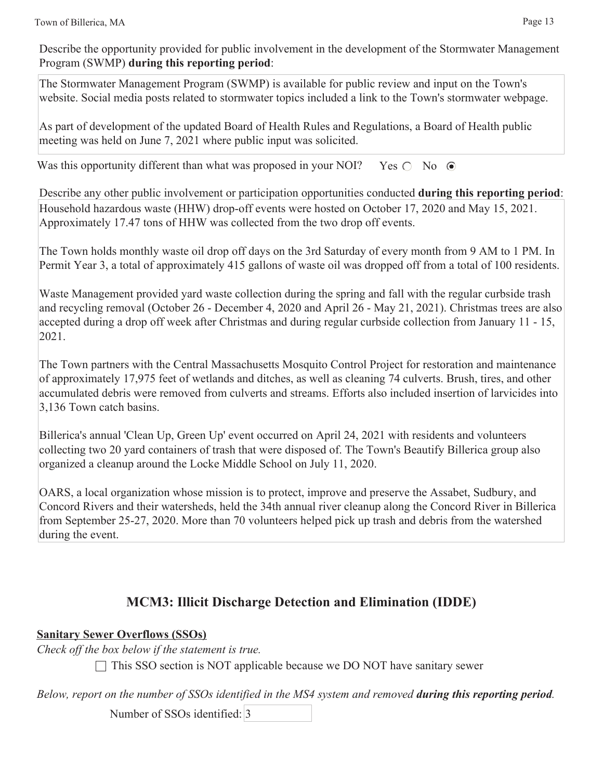Describe the opportunity provided for public involvement in the development of the Stormwater Management Program (SWMP) **during this reporting period**:

The Stormwater Management Program (SWMP) is available for public review and input on the Town's website. Social media posts related to stormwater topics included a link to the Town's stormwater webpage.

As part of development of the updated Board of Health Rules and Regulations, a Board of Health public meeting was held on June 7, 2021 where public input was solicited.

Was this opportunity different than what was proposed in your NOI? Yes  $\bigcirc$  No  $\bigcirc$ 

Describe any other public involvement or participation opportunities conducted **during this reporting period**: Household hazardous waste (HHW) drop-off events were hosted on October 17, 2020 and May 15, 2021. Approximately 17.47 tons of HHW was collected from the two drop off events.

The Town holds monthly waste oil drop off days on the 3rd Saturday of every month from 9 AM to 1 PM. In Permit Year 3, a total of approximately 415 gallons of waste oil was dropped off from a total of 100 residents.

Waste Management provided yard waste collection during the spring and fall with the regular curbside trash and recycling removal (October 26 - December 4, 2020 and April 26 - May 21, 2021). Christmas trees are also accepted during a drop off week after Christmas and during regular curbside collection from January 11 - 15, 2021.

The Town partners with the Central Massachusetts Mosquito Control Project for restoration and maintenance of approximately 17,975 feet of wetlands and ditches, as well as cleaning 74 culverts. Brush, tires, and other accumulated debris were removed from culverts and streams. Efforts also included insertion of larvicides into 3,136 Town catch basins.

Billerica's annual 'Clean Up, Green Up' event occurred on April 24, 2021 with residents and volunteers collecting two 20 yard containers of trash that were disposed of. The Town's Beautify Billerica group also organized a cleanup around the Locke Middle School on July 11, 2020.

OARS, a local organization whose mission is to protect, improve and preserve the Assabet, Sudbury, and Concord Rivers and their watersheds, held the 34th annual river cleanup along the Concord River in Billerica from September 25-27, 2020. More than 70 volunteers helped pick up trash and debris from the watershed during the event.

# **MCM3: Illicit Discharge Detection and Elimination (IDDE)**

**Sanitary Sewer Overflows (SSOs)**

*Check off the box below if the statement is true.*

 $\Box$  This SSO section is NOT applicable because we DO NOT have sanitary sewer

*Below, report on the number of SSOs identified in the MS4 system and removed during this reporting period.*

Number of SSOs identified: 3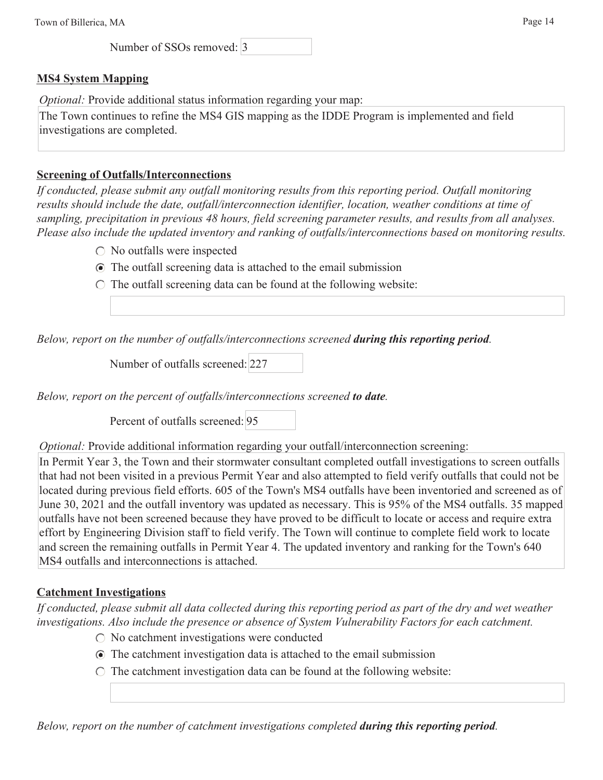Number of SSOs removed: 3

#### **MS4 System Mapping**

*Optional:* Provide additional status information regarding your map:

The Town continues to refine the MS4 GIS mapping as the IDDE Program is implemented and field investigations are completed.

#### **Screening of Outfalls/Interconnections**

*If conducted, please submit any outfall monitoring results from this reporting period. Outfall monitoring results should include the date, outfall/interconnection identifier, location, weather conditions at time of sampling, precipitation in previous 48 hours, field screening parameter results, and results from all analyses. Please also include the updated inventory and ranking of outfalls/interconnections based on monitoring results.*

- $\bigcirc$  No outfalls were inspected
- The outfall screening data is attached to the email submission
- $\circ$  The outfall screening data can be found at the following website:

*Below, report on the number of outfalls/interconnections screened during this reporting period.*

Number of outfalls screened: 227

*Below, report on the percent of outfalls/interconnections screened to date.*

Percent of outfalls screened: 95

*Optional:* Provide additional information regarding your outfall/interconnection screening:

In Permit Year 3, the Town and their stormwater consultant completed outfall investigations to screen outfalls that had not been visited in a previous Permit Year and also attempted to field verify outfalls that could not be located during previous field efforts. 605 of the Town's MS4 outfalls have been inventoried and screened as of June 30, 2021 and the outfall inventory was updated as necessary. This is 95% of the MS4 outfalls. 35 mapped outfalls have not been screened because they have proved to be difficult to locate or access and require extra effort by Engineering Division staff to field verify. The Town will continue to complete field work to locate and screen the remaining outfalls in Permit Year 4. The updated inventory and ranking for the Town's 640 MS4 outfalls and interconnections is attached.

#### **Catchment Investigations**

*If conducted, please submit all data collected during this reporting period as part of the dry and wet weather investigations. Also include the presence or absence of System Vulnerability Factors for each catchment.*

- $\bigcirc$  No catchment investigations were conducted
- The catchment investigation data is attached to the email submission
- $\circ$  The catchment investigation data can be found at the following website:

*Below, report on the number of catchment investigations completed during this reporting period.*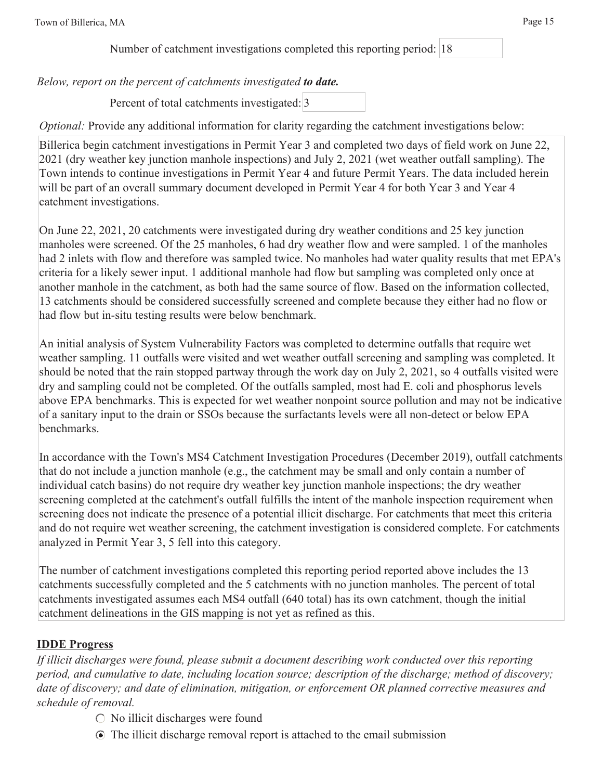Number of catchment investigations completed this reporting period: 18

*Below, report on the percent of catchments investigated to date.*

Percent of total catchments investigated: 3

*Optional:* Provide any additional information for clarity regarding the catchment investigations below:

Billerica begin catchment investigations in Permit Year 3 and completed two days of field work on June 22, 2021 (dry weather key junction manhole inspections) and July 2, 2021 (wet weather outfall sampling). The Town intends to continue investigations in Permit Year 4 and future Permit Years. The data included herein will be part of an overall summary document developed in Permit Year 4 for both Year 3 and Year 4 catchment investigations.

On June 22, 2021, 20 catchments were investigated during dry weather conditions and 25 key junction manholes were screened. Of the 25 manholes, 6 had dry weather flow and were sampled. 1 of the manholes had 2 inlets with flow and therefore was sampled twice. No manholes had water quality results that met EPA's criteria for a likely sewer input. 1 additional manhole had flow but sampling was completed only once at another manhole in the catchment, as both had the same source of flow. Based on the information collected, 13 catchments should be considered successfully screened and complete because they either had no flow or had flow but in-situ testing results were below benchmark.

An initial analysis of System Vulnerability Factors was completed to determine outfalls that require wet weather sampling. 11 outfalls were visited and wet weather outfall screening and sampling was completed. It should be noted that the rain stopped partway through the work day on July 2, 2021, so 4 outfalls visited were dry and sampling could not be completed. Of the outfalls sampled, most had E. coli and phosphorus levels above EPA benchmarks. This is expected for wet weather nonpoint source pollution and may not be indicative of a sanitary input to the drain or SSOs because the surfactants levels were all non-detect or below EPA benchmarks.

In accordance with the Town's MS4 Catchment Investigation Procedures (December 2019), outfall catchments that do not include a junction manhole (e.g., the catchment may be small and only contain a number of individual catch basins) do not require dry weather key junction manhole inspections; the dry weather screening completed at the catchment's outfall fulfills the intent of the manhole inspection requirement when screening does not indicate the presence of a potential illicit discharge. For catchments that meet this criteria and do not require wet weather screening, the catchment investigation is considered complete. For catchments analyzed in Permit Year 3, 5 fell into this category.

The number of catchment investigations completed this reporting period reported above includes the 13 catchments successfully completed and the 5 catchments with no junction manholes. The percent of total catchments investigated assumes each MS4 outfall (640 total) has its own catchment, though the initial catchment delineations in the GIS mapping is not yet as refined as this.

## **IDDE Progress**

*If illicit discharges were found, please submit a document describing work conducted over this reporting period, and cumulative to date, including location source; description of the discharge; method of discovery; date of discovery; and date of elimination, mitigation, or enforcement OR planned corrective measures and schedule of removal.*

- $\circ$  No illicit discharges were found
- The illicit discharge removal report is attached to the email submission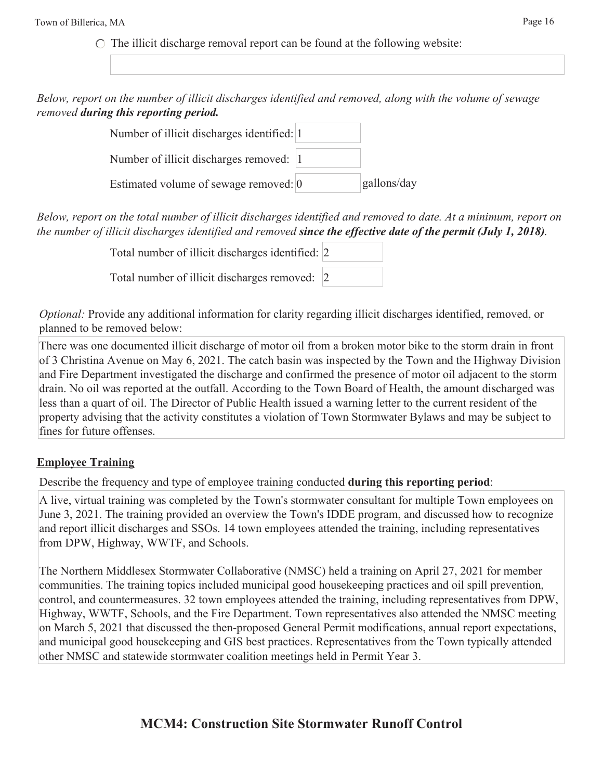$\circ$  The illicit discharge removal report can be found at the following website:

*Below, report on the number of illicit discharges identified and removed, along with the volume of sewage removed during this reporting period.*

| Number of illicit discharges identified: 1 |             |
|--------------------------------------------|-------------|
| Number of illicit discharges removed: 1    |             |
| Estimated volume of sewage removed: 0      | gallons/day |

*Below, report on the total number of illicit discharges identified and removed to date. At a minimum, report on the number of illicit discharges identified and removed since the effective date of the permit (July 1, 2018).*

| Total number of illicit discharges identified: 2 |  |
|--------------------------------------------------|--|
| Total number of illicit discharges removed: 2    |  |

*Optional:* Provide any additional information for clarity regarding illicit discharges identified, removed, or planned to be removed below:

There was one documented illicit discharge of motor oil from a broken motor bike to the storm drain in front of 3 Christina Avenue on May 6, 2021. The catch basin was inspected by the Town and the Highway Division and Fire Department investigated the discharge and confirmed the presence of motor oil adjacent to the storm drain. No oil was reported at the outfall. According to the Town Board of Health, the amount discharged was less than a quart of oil. The Director of Public Health issued a warning letter to the current resident of the property advising that the activity constitutes a violation of Town Stormwater Bylaws and may be subject to fines for future offenses.

## **Employee Training**

Describe the frequency and type of employee training conducted **during this reporting period**:

A live, virtual training was completed by the Town's stormwater consultant for multiple Town employees on June 3, 2021. The training provided an overview the Town's IDDE program, and discussed how to recognize and report illicit discharges and SSOs. 14 town employees attended the training, including representatives from DPW, Highway, WWTF, and Schools.

The Northern Middlesex Stormwater Collaborative (NMSC) held a training on April 27, 2021 for member communities. The training topics included municipal good housekeeping practices and oil spill prevention, control, and countermeasures. 32 town employees attended the training, including representatives from DPW, Highway, WWTF, Schools, and the Fire Department. Town representatives also attended the NMSC meeting on March 5, 2021 that discussed the then-proposed General Permit modifications, annual report expectations, and municipal good housekeeping and GIS best practices. Representatives from the Town typically attended other NMSC and statewide stormwater coalition meetings held in Permit Year 3.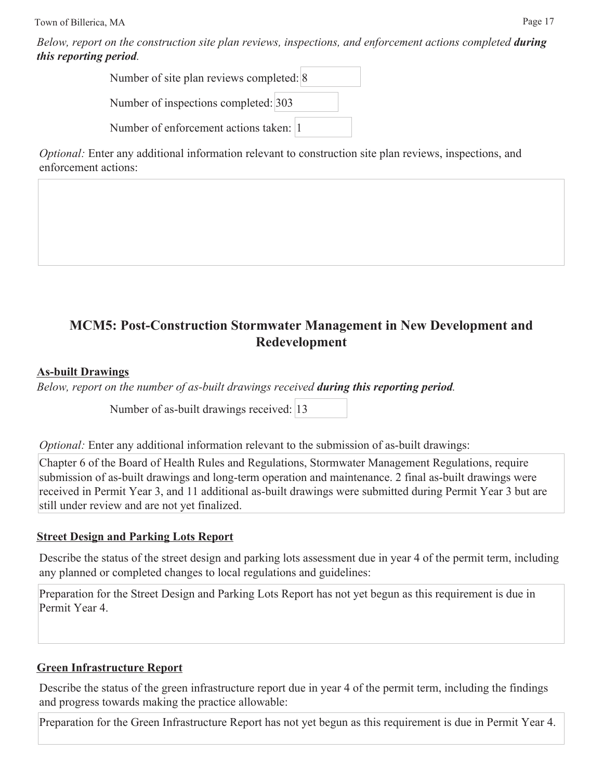*Below, report on the construction site plan reviews, inspections, and enforcement actions completed <i>during this reporting period.*

> Number of site plan reviews completed: 8 Number of inspections completed: 303 Number of enforcement actions taken: 1

*Optional:* Enter any additional information relevant to construction site plan reviews, inspections, and enforcement actions:

## **MCM5: Post-Construction Stormwater Management in New Development and Redevelopment**

## **As-built Drawings**

*Below, report on the number of as-built drawings received during this reporting period.*

Number of as-built drawings received: 13

*Optional:* Enter any additional information relevant to the submission of as-built drawings:

Chapter 6 of the Board of Health Rules and Regulations, Stormwater Management Regulations, require submission of as-built drawings and long-term operation and maintenance. 2 final as-built drawings were received in Permit Year 3, and 11 additional as-built drawings were submitted during Permit Year 3 but are still under review and are not yet finalized.

## **Street Design and Parking Lots Report**

Describe the status of the street design and parking lots assessment due in year 4 of the permit term, including any planned or completed changes to local regulations and guidelines:

Preparation for the Street Design and Parking Lots Report has not yet begun as this requirement is due in Permit Year 4.

## **Green Infrastructure Report**

Describe the status of the green infrastructure report due in year 4 of the permit term, including the findings and progress towards making the practice allowable:

Preparation for the Green Infrastructure Report has not yet begun as this requirement is due in Permit Year 4.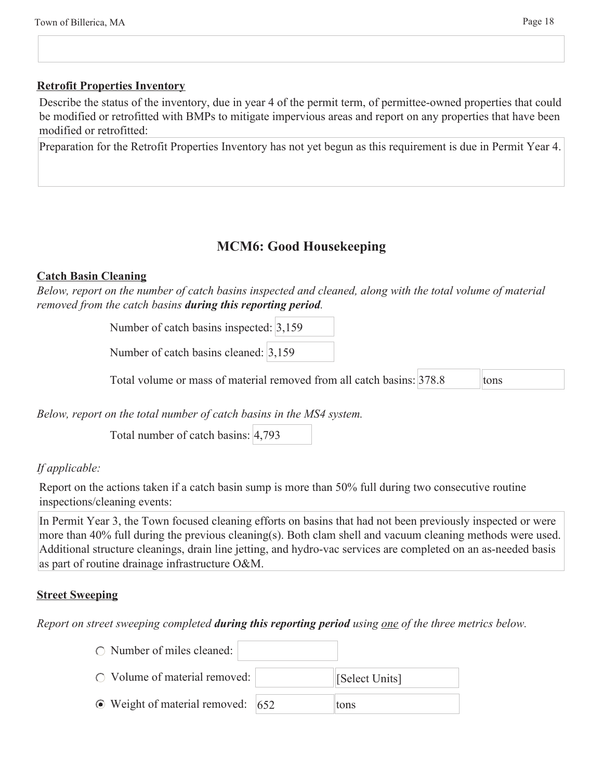#### **Retrofit Properties Inventory**

Describe the status of the inventory, due in year 4 of the permit term, of permittee-owned properties that could be modified or retrofitted with BMPs to mitigate impervious areas and report on any properties that have been modified or retrofitted:

Preparation for the Retrofit Properties Inventory has not yet begun as this requirement is due in Permit Year 4.

## **MCM6: Good Housekeeping**

#### **Catch Basin Cleaning**

*Below, report on the number of catch basins inspected and cleaned, along with the total volume of material removed from the catch basins during this reporting period.*

Number of catch basins inspected: 3,159

Number of catch basins cleaned: 3,159

Total volume or mass of material removed from all catch basins: 378.8 tons

*Below, report on the total number of catch basins in the MS4 system.*

Total number of catch basins: 4,793

 $\bigcap$  Number of miles cleaned:

#### *If applicable:*

Report on the actions taken if a catch basin sump is more than 50% full during two consecutive routine inspections/cleaning events:

In Permit Year 3, the Town focused cleaning efforts on basins that had not been previously inspected or were more than 40% full during the previous cleaning(s). Both clam shell and vacuum cleaning methods were used. Additional structure cleanings, drain line jetting, and hydro-vac services are completed on an as-needed basis as part of routine drainage infrastructure O&M.

#### **Street Sweeping**

*Report on street sweeping completed during this reporting period using one of the three metrics below.*

| () Number of miles cleaned.             |                     |
|-----------------------------------------|---------------------|
| $\bigcirc$ Volume of material removed:  | <b>Select Units</b> |
| $\odot$ Weight of material removed: 652 | tons                |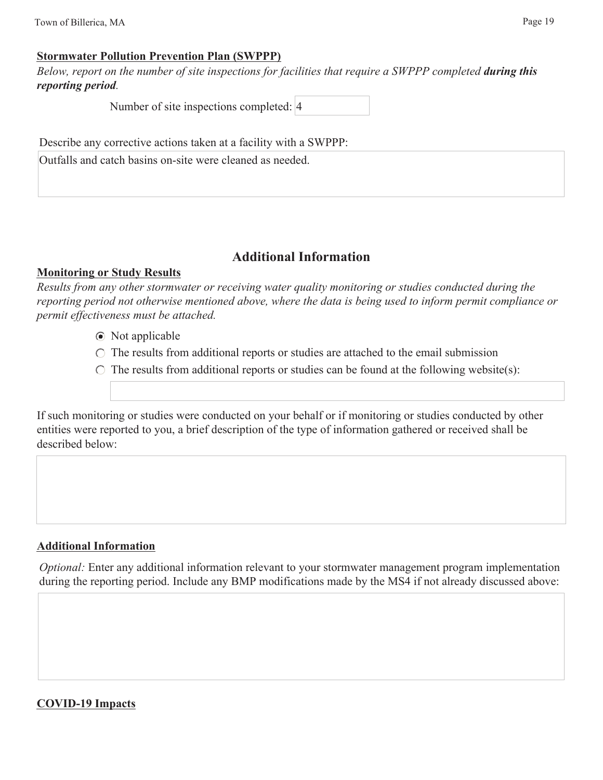#### **Stormwater Pollution Prevention Plan (SWPPP)**

*Below, report on the number of site inspections for facilities that require a SWPPP completed during this reporting period.*

Number of site inspections completed: 4

Describe any corrective actions taken at a facility with a SWPPP:

Outfalls and catch basins on-site were cleaned as needed.

## **Additional Information**

#### **Monitoring or Study Results**

*Results from any other stormwater or receiving water quality monitoring or studies conducted during the reporting period not otherwise mentioned above, where the data is being used to inform permit compliance or permit effectiveness must be attached.*

- Not applicable
- $\circ$  The results from additional reports or studies are attached to the email submission
- $\circ$  The results from additional reports or studies can be found at the following website(s):

If such monitoring or studies were conducted on your behalf or if monitoring or studies conducted by other entities were reported to you, a brief description of the type of information gathered or received shall be described below:

## **Additional Information**

*Optional:* Enter any additional information relevant to your stormwater management program implementation during the reporting period. Include any BMP modifications made by the MS4 if not already discussed above:

#### **COVID-19 Impacts**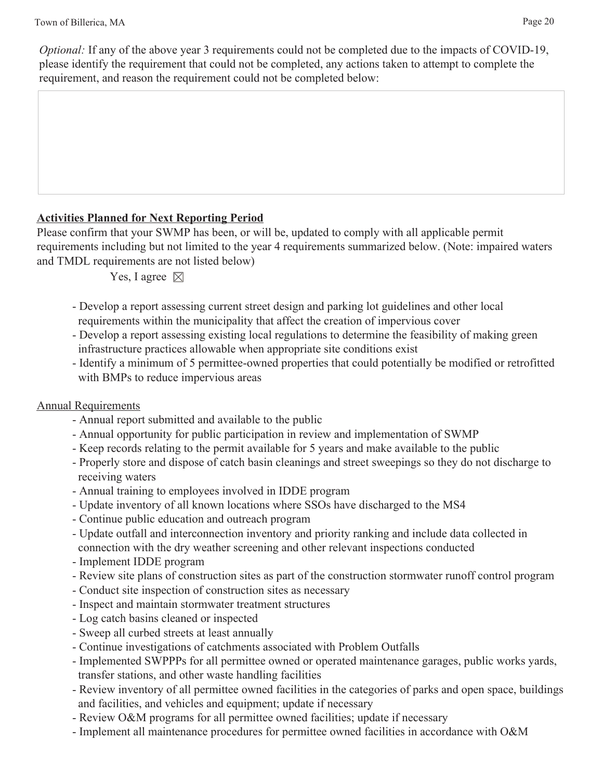## **Activities Planned for Next Reporting Period**

Please confirm that your SWMP has been, or will be, updated to comply with all applicable permit requirements including but not limited to the year 4 requirements summarized below. (Note: impaired waters and TMDL requirements are not listed below)

Yes, I agree  $\boxtimes$ 

- Develop a report assessing current street design and parking lot guidelines and other local requirements within the municipality that affect the creation of impervious cover
- Develop a report assessing existing local regulations to determine the feasibility of making green infrastructure practices allowable when appropriate site conditions exist
- Identify a minimum of 5 permittee-owned properties that could potentially be modified or retrofitted with BMPs to reduce impervious areas

## Annual Requirements

- Annual report submitted and available to the public
- Annual opportunity for public participation in review and implementation of SWMP
- Keep records relating to the permit available for 5 years and make available to the public
- Properly store and dispose of catch basin cleanings and street sweepings so they do not discharge to receiving waters
- Annual training to employees involved in IDDE program
- Update inventory of all known locations where SSOs have discharged to the MS4
- Continue public education and outreach program
- Update outfall and interconnection inventory and priority ranking and include data collected in connection with the dry weather screening and other relevant inspections conducted
- Implement IDDE program
- Review site plans of construction sites as part of the construction stormwater runoff control program
- Conduct site inspection of construction sites as necessary
- Inspect and maintain stormwater treatment structures
- Log catch basins cleaned or inspected
- Sweep all curbed streets at least annually
- Continue investigations of catchments associated with Problem Outfalls
- Implemented SWPPPs for all permittee owned or operated maintenance garages, public works yards, transfer stations, and other waste handling facilities
- Review inventory of all permittee owned facilities in the categories of parks and open space, buildings and facilities, and vehicles and equipment; update if necessary
- Review O&M programs for all permittee owned facilities; update if necessary
- Implement all maintenance procedures for permittee owned facilities in accordance with O&M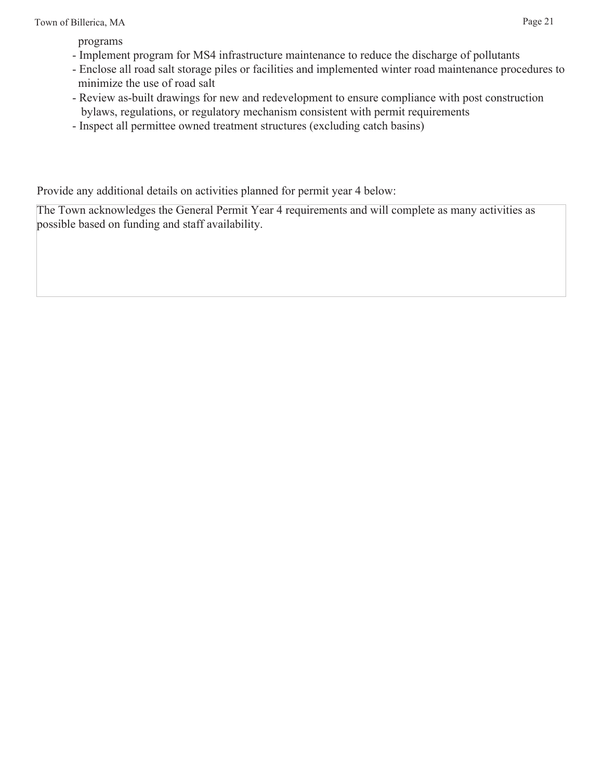programs

- Implement program for MS4 infrastructure maintenance to reduce the discharge of pollutants
- Enclose all road salt storage piles or facilities and implemented winter road maintenance procedures to minimize the use of road salt
- Review as-built drawings for new and redevelopment to ensure compliance with post construction bylaws, regulations, or regulatory mechanism consistent with permit requirements
- Inspect all permittee owned treatment structures (excluding catch basins)

Provide any additional details on activities planned for permit year 4 below:

The Town acknowledges the General Permit Year 4 requirements and will complete as many activities as possible based on funding and staff availability.